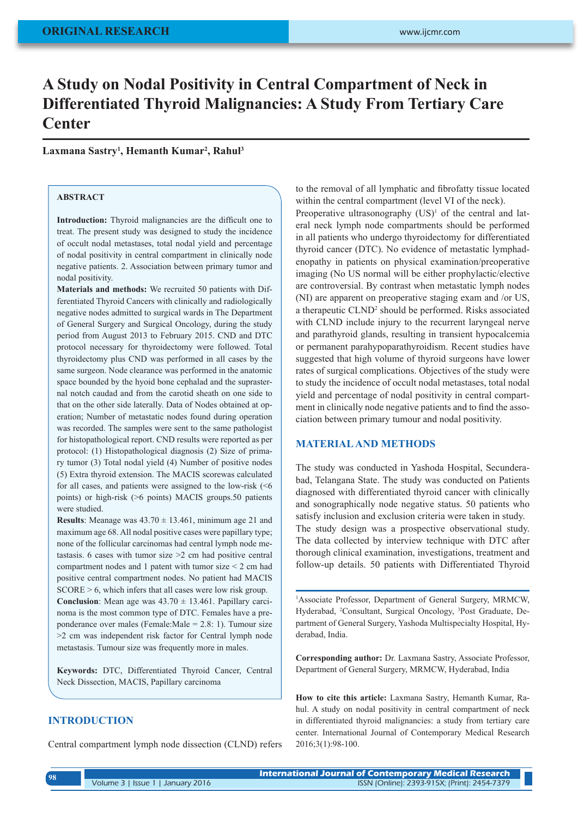# **A Study on Nodal Positivity in Central Compartment of Neck in Differentiated Thyroid Malignancies: A Study From Tertiary Care Center**

## **Laxmana Sastry1 , Hemanth Kumar2 , Rahul3**

## **ABSTRACT**

**Introduction:** Thyroid malignancies are the difficult one to treat. The present study was designed to study the incidence of occult nodal metastases, total nodal yield and percentage of nodal positivity in central compartment in clinically node negative patients. 2. Association between primary tumor and nodal positivity.

**Materials and methods:** We recruited 50 patients with Differentiated Thyroid Cancers with clinically and radiologically negative nodes admitted to surgical wards in The Department of General Surgery and Surgical Oncology, during the study period from August 2013 to February 2015. CND and DTC protocol necessary for thyroidectomy were followed. Total thyroidectomy plus CND was performed in all cases by the same surgeon. Node clearance was performed in the anatomic space bounded by the hyoid bone cephalad and the suprasternal notch caudad and from the carotid sheath on one side to that on the other side laterally. Data of Nodes obtained at operation; Number of metastatic nodes found during operation was recorded. The samples were sent to the same pathologist for histopathological report. CND results were reported as per protocol: (1) Histopathological diagnosis (2) Size of primary tumor (3) Total nodal yield (4) Number of positive nodes (5) Extra thyroid extension. The MACIS scorewas calculated for all cases, and patients were assigned to the low-risk (<6 points) or high-risk (>6 points) MACIS groups.50 patients were studied.

**Results**: Meanage was  $43.70 \pm 13.461$ , minimum age 21 and maximum age 68. All nodal positive cases were papillary type; none of the follicular carcinomas had central lymph node metastasis. 6 cases with tumor size >2 cm had positive central compartment nodes and 1 patent with tumor size < 2 cm had positive central compartment nodes. No patient had MACIS SCORE > 6, which infers that all cases were low risk group. **Conclusion**: Mean age was  $43.70 \pm 13.461$ . Papillary carcinoma is the most common type of DTC. Females have a pre-

ponderance over males (Female:Male = 2.8: 1). Tumour size >2 cm was independent risk factor for Central lymph node metastasis. Tumour size was frequently more in males.

**Keywords:** DTC, Differentiated Thyroid Cancer, Central Neck Dissection, MACIS, Papillary carcinoma

# **INTRODUCTION**

Central compartment lymph node dissection (CLND) refers

to the removal of all lymphatic and fibrofatty tissue located within the central compartment (level VI of the neck). Preoperative ultrasonography  $(US)^1$  of the central and lateral neck lymph node compartments should be performed in all patients who undergo thyroidectomy for differentiated thyroid cancer (DTC). No evidence of metastatic lymphadenopathy in patients on physical examination/preoperative imaging (No US normal will be either prophylactic/elective are controversial. By contrast when metastatic lymph nodes (NI) are apparent on preoperative staging exam and /or US, a therapeutic CLND<sup>2</sup> should be performed. Risks associated with CLND include injury to the recurrent laryngeal nerve and parathyroid glands, resulting in transient hypocalcemia or permanent parahypoparathyroidism. Recent studies have suggested that high volume of thyroid surgeons have lower rates of surgical complications. Objectives of the study were to study the incidence of occult nodal metastases, total nodal yield and percentage of nodal positivity in central compartment in clinically node negative patients and to find the association between primary tumour and nodal positivity.

#### **MATERIAL AND METHODS**

The study was conducted in Yashoda Hospital, Secunderabad, Telangana State. The study was conducted on Patients diagnosed with differentiated thyroid cancer with clinically and sonographically node negative status. 50 patients who satisfy inclusion and exclusion criteria were taken in study. The study design was a prospective observational study. The data collected by interview technique with DTC after thorough clinical examination, investigations, treatment and follow-up details. 50 patients with Differentiated Thyroid

1 Associate Professor, Department of General Surgery, MRMCW, Hyderabad, <sup>2</sup>Consultant, Surgical Oncology, <sup>3</sup>Post Graduate, Department of General Surgery, Yashoda Multispecialty Hospital, Hyderabad, India.

**Corresponding author:** Dr. Laxmana Sastry, Associate Professor, Department of General Surgery, MRMCW, Hyderabad, India

**How to cite this article:** Laxmana Sastry, Hemanth Kumar, Rahul. A study on nodal positivity in central compartment of neck in differentiated thyroid malignancies: a study from tertiary care center. International Journal of Contemporary Medical Research 2016;3(1):98-100.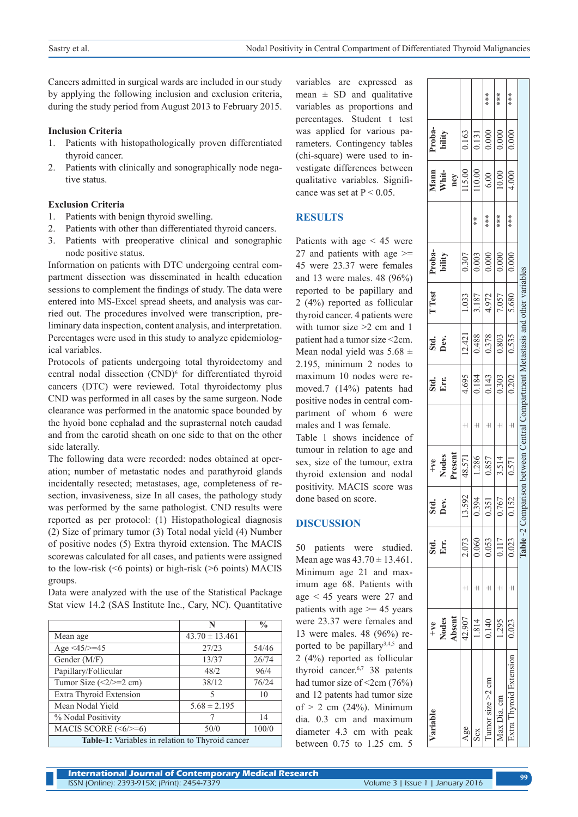Cancers admitted in surgical wards are included in our study by applying the following inclusion and exclusion criteria, during the study period from August 2013 to February 2015.

#### **Inclusion Criteria**

- 1. Patients with histopathologically proven differentiated thyroid cancer.
- 2. Patients with clinically and sonographically node negative status.

#### **Exclusion Criteria**

- 1. Patients with benign thyroid swelling.
- 2. Patients with other than differentiated thyroid cancers.
- 3. Patients with preoperative clinical and sonographic node positive status.

Information on patients with DTC undergoing central compartment dissection was disseminated in health education sessions to complement the findings of study. The data were entered into MS-Excel spread sheets, and analysis was carried out. The procedures involved were transcription, preliminary data inspection, content analysis, and interpretation. Percentages were used in this study to analyze epidemiological variables.

Protocols of patients undergoing total thyroidectomy and central nodal dissection (CND)<sup>6</sup> for differentiated thyroid cancers (DTC) were reviewed. Total thyroidectomy plus CND was performed in all cases by the same surgeon. Node clearance was performed in the anatomic space bounded by the hyoid bone cephalad and the suprasternal notch caudad and from the carotid sheath on one side to that on the other side laterally.

The following data were recorded: nodes obtained at operation; number of metastatic nodes and parathyroid glands incidentally resected; metastases, age, completeness of resection, invasiveness, size In all cases, the pathology study was performed by the same pathologist. CND results were reported as per protocol: (1) Histopathological diagnosis (2) Size of primary tumor (3) Total nodal yield (4) Number of positive nodes (5) Extra thyroid extension. The MACIS scorewas calculated for all cases, and patients were assigned to the low-risk (<6 points) or high-risk (>6 points) MACIS groups.

Data were analyzed with the use of the Statistical Package Stat view 14.2 (SAS Institute Inc., Cary, NC). Quantitative

|                                                         | N                  | $\frac{0}{0}$ |
|---------------------------------------------------------|--------------------|---------------|
| Mean age                                                | $43.70 \pm 13.461$ |               |
| Age $\langle 45 \rangle = 45$                           | 27/23              | 54/46         |
| Gender (M/F)                                            | 13/37              | 26/74         |
| Papillary/Follicular                                    | 48/2               | 96/4          |
| Tumor Size $(\leq2/\geq=2$ cm)                          | 38/12              | 76/24         |
| Extra Thyroid Extension                                 | 5                  | 10            |
| Mean Nodal Yield                                        | $5.68 \pm 2.195$   |               |
| % Nodal Positivity                                      |                    | 14            |
| MACIS SCORE $(\le6/\ge=6)$                              | 50/0               | 100/0         |
| <b>Table-1:</b> Variables in relation to Thyroid cancer |                    |               |

variables are expressed as mean  $\pm$  SD and qualitative variables as proportions and percentages. Student t test was applied for various parameters. Contingency tables (chi-square) were used to investigate differences between qualitative variables. Significance was set at  $P < 0.05$ .

# **RESULTS**

Patients with age < 45 were 27 and patients with age  $\geq$ 45 were 23.37 were females and 13 were males. 48 (96%) reported to be papillary and 2 (4%) reported as follicular thyroid cancer. 4 patients were with tumor size  $\geq 2$  cm and 1 patient had a tumor size <2cm. Mean nodal yield was  $5.68 \pm$ 2.195, minimum 2 nodes to maximum 10 nodes were removed.7 (14%) patents had positive nodes in central compartment of whom 6 were males and 1 was female.

Table 1 shows incidence of tumour in relation to age and sex, size of the tumour, extra thyroid extension and nodal positivity. MACIS score was done based on score.

# **DISCUSSION**

50 patients were studied. Mean age was  $43.70 \pm 13.461$ . Minimum age 21 and maximum age 68. Patients with age < 45 years were 27 and patients with age  $\ge$  = 45 years were 23.37 were females and 13 were males. 48 (96%) reported to be papillary<sup>3,4,5</sup> and 2 (4%) reported as follicular thyroid cancer.6,7 38 patents had tumor size of  $\leq$ 2cm (76%) and 12 patents had tumor size of  $> 2$  cm (24%). Minimum dia. 0.3 cm and maximum diameter 4.3 cm with peak between 0.75 to 1.25 cm. 5

| /ariable                  | $+ve$           |              |                       |                                                                   |                         |                 |                 | T Test |                           |                 |                             |                           |      |
|---------------------------|-----------------|--------------|-----------------------|-------------------------------------------------------------------|-------------------------|-----------------|-----------------|--------|---------------------------|-----------------|-----------------------------|---------------------------|------|
|                           | Nodes<br>Absent | Std.<br>Err: | Std.<br>Dev.          | +ve<br>Nodes<br>Present                                           |                         | Std.<br>Err.    | Std.<br>Dev.    |        | Proba-<br>bility          |                 | Mann<br>Whit-               | Proba-<br>bility          |      |
|                           |                 |              |                       |                                                                   |                         |                 |                 |        |                           |                 |                             |                           |      |
| Age                       | 42.907          | 2.073        | 13.592                | 48.571                                                            |                         | 4.695           | 12.421          | 1.033  | 0.307                     |                 | $\frac{\text{ney}}{115.00}$ | 0.163                     |      |
| Sex                       | 1.814           | 0.060        | 2<br>$0.\overline{3}$ | 1.286                                                             |                         | 0.184           | 0.488           | 3.187  | 0.003                     | *<br>*          | 10.00                       | $\overline{0.131}$        |      |
| $\lambda$ umor size >2 cm | 0.140           | 0.053        | 51<br>).3             | 0.857                                                             |                         | $\frac{143}{2}$ | 0.378           | 4.972  | 0.000                     | **<br>**        | 6.00                        | $\frac{0.000}{\sqrt{10}}$ | $**$ |
| Max Dia. cm               | 1.295           | 1117         | 0.767                 | 3.514                                                             |                         | $\frac{303}{2}$ | $\frac{803}{2}$ | 7.057  | $\frac{0.000}{\sqrt{10}}$ | $**\atop{*}{*}$ | 10.00                       | $\frac{1}{0.000}$         | ***  |
| Extra Thyroid Extension   | 0.023           | 0.023        | 52                    | 1.571                                                             | $\overline{\mathsf{H}}$ | 0.202           | 0.535           | 5.680  | $\frac{1}{0.000}$         | ***             | 4.000                       | $\frac{1}{0.000}$         | ***  |
|                           |                 | Table-2 Comp |                       | arison between Central Compartment Metastasis and other variables |                         |                 |                 |        |                           |                 |                             |                           |      |
|                           |                 |              |                       |                                                                   |                         |                 |                 |        |                           |                 |                             |                           |      |